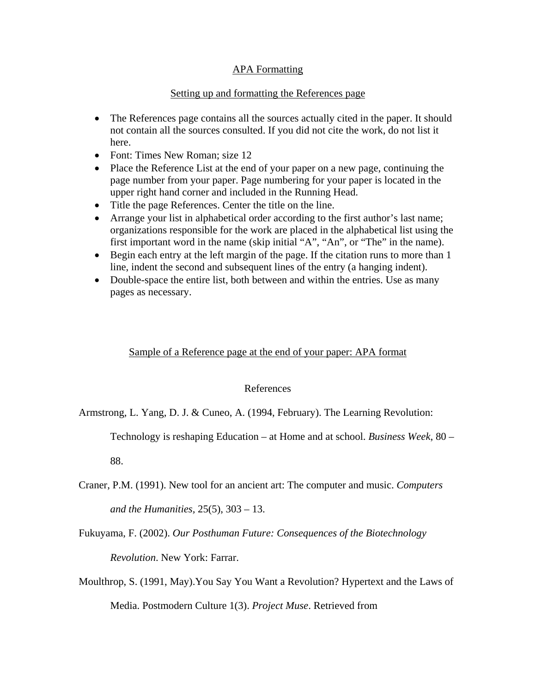## **APA Formatting**

## Setting up and formatting the References page

- The References page contains all the sources actually cited in the paper. It should not contain all the sources consulted. If you did not cite the work, do not list it here.
- Font: Times New Roman: size 12
- Place the Reference List at the end of your paper on a new page, continuing the page number from your paper. Page numbering for your paper is located in the upper right hand corner and included in the Running Head.
- Title the page References. Center the title on the line.
- Arrange your list in alphabetical order according to the first author's last name; organizations responsible for the work are placed in the alphabetical list using the first important word in the name (skip initial "A", "An", or "The" in the name).
- Begin each entry at the left margin of the page. If the citation runs to more than 1 line, indent the second and subsequent lines of the entry (a hanging indent).
- Double-space the entire list, both between and within the entries. Use as many pages as necessary.

## Sample of a Reference page at the end of your paper: APA format

## References

Armstrong, L. Yang, D. J. & Cuneo, A. (1994, February). The Learning Revolution:

Technology is reshaping Education – at Home and at school. *Business Week*, 80 –

88.

Craner, P.M. (1991). New tool for an ancient art: The computer and music. *Computers* 

*and the Humanities,* 25(5), 303 – 13.

Fukuyama, F. (2002). *Our Posthuman Future: Consequences of the Biotechnology* 

*Revolution*. New York: Farrar.

Moulthrop, S. (1991, May).You Say You Want a Revolution? Hypertext and the Laws of Media. Postmodern Culture 1(3). *Project Muse*. Retrieved from